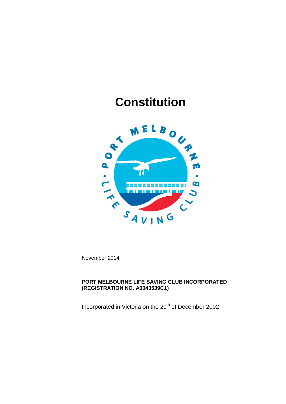## **Constitution**



November 2014

## **PORT MELBOURNE LIFE SAVING CLUB INCORPORATED (REGISTRATION NO. A0043539C1)**

Incorporated in Victoria on the 20<sup>th</sup> of December 2002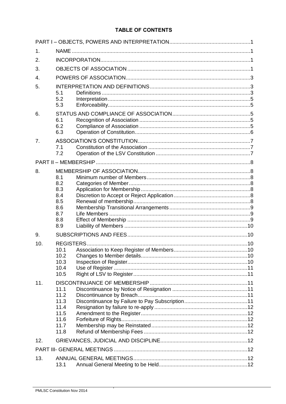## **TABLE OF CONTENTS**

| $\mathbf 1$ . |                          |  |  |  |  |  |  |
|---------------|--------------------------|--|--|--|--|--|--|
| 2.            |                          |  |  |  |  |  |  |
| 3.            |                          |  |  |  |  |  |  |
| 4.            |                          |  |  |  |  |  |  |
| 5.            |                          |  |  |  |  |  |  |
|               | 5.1<br>5.2               |  |  |  |  |  |  |
|               | 5.3                      |  |  |  |  |  |  |
| 6.            |                          |  |  |  |  |  |  |
|               | 6.1                      |  |  |  |  |  |  |
|               | 6.2<br>6.3               |  |  |  |  |  |  |
| 7.            |                          |  |  |  |  |  |  |
|               | 7.1                      |  |  |  |  |  |  |
|               | 7.2                      |  |  |  |  |  |  |
|               |                          |  |  |  |  |  |  |
| 8.            |                          |  |  |  |  |  |  |
|               | 8.1<br>8.2               |  |  |  |  |  |  |
|               | 8.3                      |  |  |  |  |  |  |
|               | 8.4                      |  |  |  |  |  |  |
|               | 8.5<br>8.6               |  |  |  |  |  |  |
|               | 8.7                      |  |  |  |  |  |  |
|               | 8.8                      |  |  |  |  |  |  |
|               | 8.9                      |  |  |  |  |  |  |
| 9.            |                          |  |  |  |  |  |  |
| 10.           | <b>REGISTERS</b><br>10.1 |  |  |  |  |  |  |
|               | 10.2                     |  |  |  |  |  |  |
|               | 10.3                     |  |  |  |  |  |  |
|               | 10.4<br>10.5             |  |  |  |  |  |  |
| 11.           |                          |  |  |  |  |  |  |
|               | 11.1                     |  |  |  |  |  |  |
|               | 11.2                     |  |  |  |  |  |  |
|               | 11.3<br>11.4             |  |  |  |  |  |  |
|               | 11.5                     |  |  |  |  |  |  |
|               | 11.6                     |  |  |  |  |  |  |
|               | 11.7<br>11.8             |  |  |  |  |  |  |
| 12.           |                          |  |  |  |  |  |  |
|               |                          |  |  |  |  |  |  |
|               |                          |  |  |  |  |  |  |
| 13.           | 13.1                     |  |  |  |  |  |  |
|               |                          |  |  |  |  |  |  |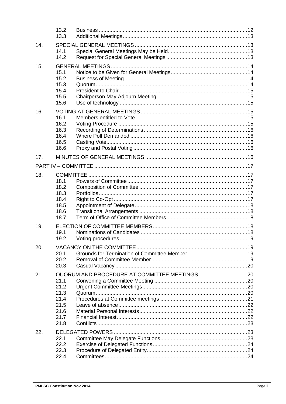|     | 13.2<br>13.3                                                 |                                               |  |
|-----|--------------------------------------------------------------|-----------------------------------------------|--|
| 14. | 14.1<br>14.2                                                 |                                               |  |
| 15. | 15.1<br>15.2<br>15.3<br>15.4<br>15.5<br>15.6                 |                                               |  |
| 16. | 16.1<br>16.2<br>16.3<br>16.4<br>16.5<br>16.6                 |                                               |  |
| 17. |                                                              |                                               |  |
|     |                                                              |                                               |  |
| 18. | 18.1<br>18.2<br>18.3<br>18.4<br>18.5<br>18.6<br>18.7         |                                               |  |
| 19. | 19.1<br>19.2                                                 |                                               |  |
| 20. | 20.1<br>20.2<br>20.3                                         |                                               |  |
| 21. | 21.1<br>21.2<br>21.3<br>21.4<br>21.5<br>21.6<br>21.7<br>21.8 | QUORUM AND PROCEDURE AT COMMITTEE MEETINGS 20 |  |
| 22. | 22.1<br>22.2<br>22.3<br>22.4                                 |                                               |  |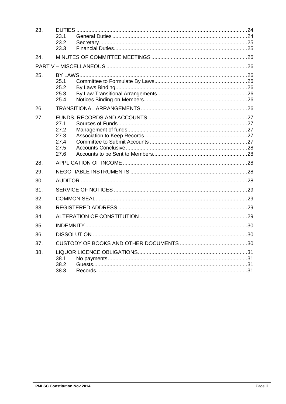| 23. | 23.1<br>23.2<br>23.3                         |  |  |  |  |
|-----|----------------------------------------------|--|--|--|--|
| 24. |                                              |  |  |  |  |
|     |                                              |  |  |  |  |
| 25. | 25.1<br>25.2<br>25.3<br>25.4                 |  |  |  |  |
| 26. |                                              |  |  |  |  |
| 27. | 27.1<br>27.2<br>27.3<br>27.4<br>27.5<br>27.6 |  |  |  |  |
| 28. |                                              |  |  |  |  |
| 29. |                                              |  |  |  |  |
| 30. |                                              |  |  |  |  |
| 31. |                                              |  |  |  |  |
| 32. |                                              |  |  |  |  |
| 33. |                                              |  |  |  |  |
| 34. |                                              |  |  |  |  |
| 35. |                                              |  |  |  |  |
| 36. |                                              |  |  |  |  |
| 37. |                                              |  |  |  |  |
| 38. | 38.1<br>38.2<br>38.3                         |  |  |  |  |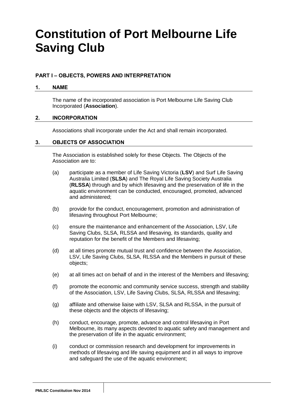# **Constitution of Port Melbourne Life Saving Club**

## <span id="page-4-0"></span>**PART I – OBJECTS, POWERS AND INTERPRETATION**

#### <span id="page-4-1"></span>**1. NAME**

The name of the incorporated association is Port Melbourne Life Saving Club Incorporated (**Association**).

#### <span id="page-4-2"></span>**2. INCORPORATION**

Associations shall incorporate under the Act and shall remain incorporated.

#### <span id="page-4-3"></span>**3. OBJECTS OF ASSOCIATION**

The Association is established solely for these Objects. The Objects of the Association are to:

- (a) participate as a member of Life Saving Victoria (**LSV**) and Surf Life Saving Australia Limited (**SLSA**) and The Royal Life Saving Society Australia (**RLSSA**) through and by which lifesaving and the preservation of life in the aquatic environment can be conducted, encouraged, promoted, advanced and administered;
- (b) provide for the conduct, encouragement, promotion and administration of lifesaving throughout Port Melbourne;
- (c) ensure the maintenance and enhancement of the Association, LSV, Life Saving Clubs, SLSA, RLSSA and lifesaving, its standards, quality and reputation for the benefit of the Members and lifesaving;
- (d) at all times promote mutual trust and confidence between the Association, LSV, Life Saving Clubs, SLSA, RLSSA and the Members in pursuit of these objects;
- (e) at all times act on behalf of and in the interest of the Members and lifesaving;
- (f) promote the economic and community service success, strength and stability of the Association, LSV, Life Saving Clubs, SLSA, RLSSA and lifesaving;
- (g) affiliate and otherwise liaise with LSV, SLSA and RLSSA, in the pursuit of these objects and the objects of lifesaving;
- (h) conduct, encourage, promote, advance and control lifesaving in Port Melbourne, its many aspects devoted to aquatic safety and management and the preservation of life in the aquatic environment;
- (i) conduct or commission research and development for improvements in methods of lifesaving and life saving equipment and in all ways to improve and safeguard the use of the aquatic environment;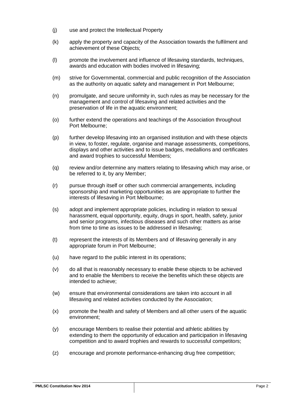- (j) use and protect the Intellectual Property
- (k) apply the property and capacity of the Association towards the fulfilment and achievement of these Objects;
- (l) promote the involvement and influence of lifesaving standards, techniques, awards and education with bodies involved in lifesaving;
- (m) strive for Governmental, commercial and public recognition of the Association as the authority on aquatic safety and management in Port Melbourne;
- (n) promulgate, and secure uniformity in, such rules as may be necessary for the management and control of lifesaving and related activities and the preservation of life in the aquatic environment;
- (o) further extend the operations and teachings of the Association throughout Port Melbourne;
- (p) further develop lifesaving into an organised institution and with these objects in view, to foster, regulate, organise and manage assessments, competitions, displays and other activities and to issue badges, medallions and certificates and award trophies to successful Members;
- (q) review and/or determine any matters relating to lifesaving which may arise, or be referred to it, by any Member;
- (r) pursue through itself or other such commercial arrangements, including sponsorship and marketing opportunities as are appropriate to further the interests of lifesaving in Port Melbourne;
- (s) adopt and implement appropriate policies, including in relation to sexual harassment, equal opportunity, equity, drugs in sport, health, safety, junior and senior programs, infectious diseases and such other matters as arise from time to time as issues to be addressed in lifesaving;
- (t) represent the interests of its Members and of lifesaving generally in any appropriate forum in Port Melbourne;
- (u) have regard to the public interest in its operations;
- (v) do all that is reasonably necessary to enable these objects to be achieved and to enable the Members to receive the benefits which these objects are intended to achieve;
- (w) ensure that environmental considerations are taken into account in all lifesaving and related activities conducted by the Association;
- (x) promote the health and safety of Members and all other users of the aquatic environment;
- (y) encourage Members to realise their potential and athletic abilities by extending to them the opportunity of education and participation in lifesaving competition and to award trophies and rewards to successful competitors;
- (z) encourage and promote performance-enhancing drug free competition;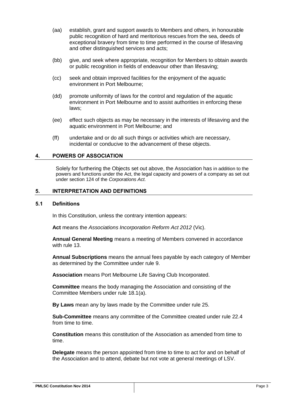- (aa) establish, grant and support awards to Members and others, in honourable public recognition of hard and meritorious rescues from the sea, deeds of exceptional bravery from time to time performed in the course of lifesaving and other distinguished services and acts;
- (bb) give, and seek where appropriate, recognition for Members to obtain awards or public recognition in fields of endeavour other than lifesaving;
- (cc) seek and obtain improved facilities for the enjoyment of the aquatic environment in Port Melbourne;
- (dd) promote uniformity of laws for the control and regulation of the aquatic environment in Port Melbourne and to assist authorities in enforcing these laws;
- (ee) effect such objects as may be necessary in the interests of lifesaving and the aquatic environment in Port Melbourne; and
- (ff) undertake and or do all such things or activities which are necessary, incidental or conducive to the advancement of these objects.

#### <span id="page-6-0"></span>**4. POWERS OF ASSOCIATION**

Solely for furthering the Objects set out above, the Association has in addition to the powers and functions under the Act, the legal capacity and powers of a company as set out under section 124 of the *Corporations Act*.

#### <span id="page-6-1"></span>**5. INTERPRETATION AND DEFINITIONS**

#### <span id="page-6-2"></span>**5.1 Definitions**

In this Constitution, unless the contrary intention appears:

**Act** means the *Associations Incorporation Reform Act 2012* (Vic).

**Annual General Meeting** means a meeting of Members convened in accordance with rule [13.](#page-15-7)

**Annual Subscriptions** means the annual fees payable by each category of Member as determined by the Committee under rule [9.](#page-13-1)

**Association** means Port Melbourne Life Saving Club Incorporated.

**Committee** means the body managing the Association and consisting of the Committee Members under rule [18.1\(a\).](#page-20-6)

**By Laws** mean any by laws made by the Committee under rule [25.](#page-29-2)

**Sub-Committee** means any committee of the Committee created under rule [22.4](#page-27-2) from time to time.

**Constitution** means this constitution of the Association as amended from time to time.

**Delegate** means the person appointed from time to time to act for and on behalf of the Association and to attend, debate but not vote at general meetings of LSV.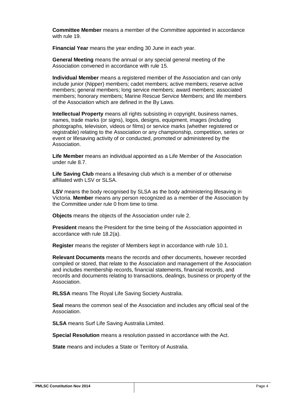**Committee Member** means a member of the Committee appointed in accordance with rule [19.](#page-21-3)

**Financial Year** means the year ending 30 June in each year.

**General Meeting** means the annual or any special general meeting of the Association convened in accordance with rule [15.](#page-17-0)

**Individual Member** means a registered member of the Association and can only include junior (Nipper) members; cadet members; active members; reserve active members; general members; long service members; award members; associated members; honorary members; Marine Rescue Service Members; and life members of the Association which are defined in the By Laws.

**Intellectual Property** means all rights subsisting in copyright, business names, names, trade marks (or signs), logos, designs, equipment, images (including photographs, television, videos or films) or service marks (whether registered or registrable) relating to the Association or any championship, competition, series or event or lifesaving activity of or conducted, promoted or administered by the Association.

**Life Member** means an individual appointed as a Life Member of the Association under rule [8.7.](#page-12-1)

**Life Saving Club** means a lifesaving club which is a member of or otherwise affiliated with LSV or SLSA.

**LSV** means the body recognised by SLSA as the body administering lifesaving in Victoria. **Member** means any person recognized as a member of the Association by the Committee under rule [0](#page-11-7) from time to time.

**Objects** means the objects of the Association under rule [2.](#page-4-2)

**President** means the President for the time being of the Association appointed in accordance with rule [18.2\(a\).](#page-20-7)

**Register** means the register of Members kept in accordance with rule [10.1.](#page-13-3)

**Relevant Documents** means the records and other documents, however recorded compiled or stored, that relate to the Association and management of the Association and includes membership records, financial statements, financial records, and records and documents relating to transactions, dealings, business or property of the Association.

**RLSSA** means The Royal Life Saving Society Australia.

**Seal** means the common seal of the Association and includes any official seal of the Association.

**SLSA** means Surf Life Saving Australia Limited.

**Special Resolution** means a resolution passed in accordance with the Act.

**State** means and includes a State or Territory of Australia.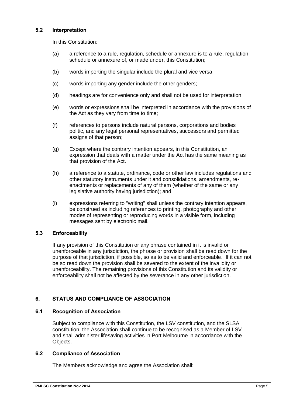## <span id="page-8-0"></span>**5.2 Interpretation**

In this Constitution:

- (a) a reference to a rule, regulation, schedule or annexure is to a rule, regulation, schedule or annexure of, or made under, this Constitution;
- (b) words importing the singular include the plural and vice versa;
- (c) words importing any gender include the other genders;
- (d) headings are for convenience only and shall not be used for interpretation;
- (e) words or expressions shall be interpreted in accordance with the provisions of the Act as they vary from time to time;
- (f) references to persons include natural persons, corporations and bodies politic, and any legal personal representatives, successors and permitted assigns of that person;
- (g) Except where the contrary intention appears, in this Constitution, an expression that deals with a matter under the Act has the same meaning as that provision of the Act.
- (h) a reference to a statute, ordinance, code or other law includes regulations and other statutory instruments under it and consolidations, amendments, reenactments or replacements of any of them (whether of the same or any legislative authority having jurisdiction); and
- (i) expressions referring to "writing" shall unless the contrary intention appears, be construed as including references to printing, photography and other modes of representing or reproducing words in a visible form, including messages sent by electronic mail.

## <span id="page-8-1"></span>**5.3 Enforceability**

If any provision of this Constitution or any phrase contained in it is invalid or unenforceable in any jurisdiction, the phrase or provision shall be read down for the purpose of that jurisdiction, if possible, so as to be valid and enforceable. If it can not be so read down the provision shall be severed to the extent of the invalidity or unenforceability. The remaining provisions of this Constitution and its validity or enforceability shall not be affected by the severance in any other jurisdiction.

## <span id="page-8-2"></span>**6. STATUS AND COMPLIANCE OF ASSOCIATION**

#### <span id="page-8-3"></span>**6.1 Recognition of Association**

Subject to compliance with this Constitution, the LSV constitution, and the SLSA constitution, the Association shall continue to be recognised as a Member of LSV and shall administer lifesaving activities in Port Melbourne in accordance with the Objects.

## <span id="page-8-4"></span>**6.2 Compliance of Association**

The Members acknowledge and agree the Association shall: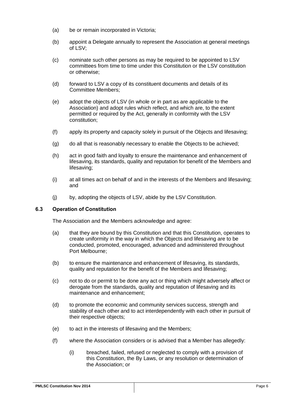- (a) be or remain incorporated in Victoria;
- (b) appoint a Delegate annually to represent the Association at general meetings of LSV;
- (c) nominate such other persons as may be required to be appointed to LSV committees from time to time under this Constitution or the LSV constitution or otherwise;
- (d) forward to LSV a copy of its constituent documents and details of its Committee Members;
- (e) adopt the objects of LSV (in whole or in part as are applicable to the Association) and adopt rules which reflect, and which are, to the extent permitted or required by the Act, generally in conformity with the LSV constitution;
- (f) apply its property and capacity solely in pursuit of the Objects and lifesaving;
- (g) do all that is reasonably necessary to enable the Objects to be achieved;
- (h) act in good faith and loyalty to ensure the maintenance and enhancement of lifesaving, its standards, quality and reputation for benefit of the Members and lifesaving;
- (i) at all times act on behalf of and in the interests of the Members and lifesaving; and
- (j) by, adopting the objects of LSV, abide by the LSV Constitution.

## <span id="page-9-0"></span>**6.3 Operation of Constitution**

The Association and the Members acknowledge and agree:

- (a) that they are bound by this Constitution and that this Constitution, operates to create uniformity in the way in which the Objects and lifesaving are to be conducted, promoted, encouraged, advanced and administered throughout Port Melbourne;
- (b) to ensure the maintenance and enhancement of lifesaving, its standards, quality and reputation for the benefit of the Members and lifesaving;
- (c) not to do or permit to be done any act or thing which might adversely affect or derogate from the standards, quality and reputation of lifesaving and its maintenance and enhancement;
- (d) to promote the economic and community services success, strength and stability of each other and to act interdependently with each other in pursuit of their respective objects;
- (e) to act in the interests of lifesaving and the Members;
- (f) where the Association considers or is advised that a Member has allegedly:
	- (i) breached, failed, refused or neglected to comply with a provision of this Constitution, the By Laws, or any resolution or determination of the Association; or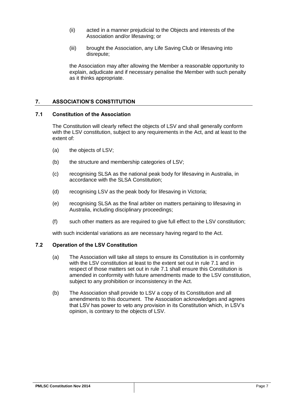- (ii) acted in a manner prejudicial to the Objects and interests of the Association and/or lifesaving; or
- (iii) brought the Association, any Life Saving Club or lifesaving into disrepute;

the Association may after allowing the Member a reasonable opportunity to explain, adjudicate and if necessary penalise the Member with such penalty as it thinks appropriate.

## <span id="page-10-0"></span>**7. ASSOCIATION'S CONSTITUTION**

#### <span id="page-10-1"></span>**7.1 Constitution of the Association**

The Constitution will clearly reflect the objects of LSV and shall generally conform with the LSV constitution, subject to any requirements in the Act, and at least to the extent of:

- (a) the objects of LSV;
- (b) the structure and membership categories of LSV;
- (c) recognising SLSA as the national peak body for lifesaving in Australia, in accordance with the SLSA Constitution;
- (d) recognising LSV as the peak body for lifesaving in Victoria;
- (e) recognising SLSA as the final arbiter on matters pertaining to lifesaving in Australia, including disciplinary proceedings;
- (f) such other matters as are required to give full effect to the LSV constitution;

with such incidental variations as are necessary having regard to the Act.

## <span id="page-10-2"></span>**7.2 Operation of the LSV Constitution**

- (a) The Association will take all steps to ensure its Constitution is in conformity with the LSV constitution at least to the extent set out in rule [7.1](#page-10-1) and in respect of those matters set out in rule [7.1](#page-10-1) shall ensure this Constitution is amended in conformity with future amendments made to the LSV constitution, subject to any prohibition or inconsistency in the Act.
- (b) The Association shall provide to LSV a copy of its Constitution and all amendments to this document. The Association acknowledges and agrees that LSV has power to veto any provision in its Constitution which, in LSV's opinion, is contrary to the objects of LSV.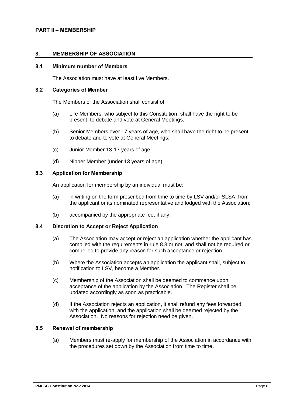#### <span id="page-11-0"></span>**PART II – MEMBERSHIP**

#### <span id="page-11-7"></span><span id="page-11-1"></span>**8. MEMBERSHIP OF ASSOCIATION**

#### <span id="page-11-2"></span>**8.1 Minimum number of Members**

The Association must have at least five Members.

#### <span id="page-11-3"></span>**8.2 Categories of Member**

The Members of the Association shall consist of:

- (a) Life Members, who subject to this Constitution, shall have the right to be present, to debate and vote at General Meetings.
- (b) Senior Members over 17 years of age, who shall have the right to be present, to debate and to vote at General Meetings;
- (c) Junior Member 13-17 years of age;
- (d) Nipper Member (under 13 years of age)

#### <span id="page-11-4"></span>**8.3 Application for Membership**

An application for membership by an individual must be:

- (a) in writing on the form prescribed from time to time by LSV and/or SLSA, from the applicant or its nominated representative and lodged with the Association;
- (b) accompanied by the appropriate fee, if any.

#### <span id="page-11-5"></span>**8.4 Discretion to Accept or Reject Application**

- (a) The Association may accept or reject an application whether the applicant has complied with the requirements in rule [8.3](#page-11-4) or not, and shall not be required or compelled to provide any reason for such acceptance or rejection.
- (b) Where the Association accepts an application the applicant shall, subject to notification to LSV, become a Member.
- (c) Membership of the Association shall be deemed to commence upon acceptance of the application by the Association. The Register shall be updated accordingly as soon as practicable.
- (d) If the Association rejects an application, it shall refund any fees forwarded with the application, and the application shall be deemed rejected by the Association. No reasons for rejection need be given.

## <span id="page-11-6"></span>**8.5 Renewal of membership**

(a) Members must re-apply for membership of the Association in accordance with the procedures set down by the Association from time to time.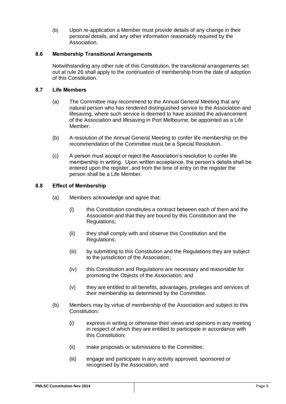(b) Upon re-application a Member must provide details of any change in their personal details, and any other information reasonably required by the Association.

## <span id="page-12-0"></span>**8.6 Membership Transitional Arrangements**

Notwithstanding any other rule of this Constitution, the transitional arrangements set out at rule [26](#page-29-7) shall apply to the continuation of membership from the date of adoption of this Constitution.

## <span id="page-12-1"></span>**8.7 Life Members**

- (a) The Committee may recommend to the Annual General Meeting that any natural person who has rendered distinguished service to the Association and lifesaving, where such service is deemed to have assisted the advancement of the Association and lifesaving in Port Melbourne, be appointed as a Life Member.
- (b) A resolution of the Annual General Meeting to confer life membership on the recommendation of the Committee must be a Special Resolution.
- (c) A person must accept or reject the Association's resolution to confer life membership in writing. Upon written acceptance, the person's details shall be entered upon the register, and from the time of entry on the register the person shall be a Life Member.

#### <span id="page-12-2"></span>**8.8 Effect of Membership**

- (a) Members acknowledge and agree that:
	- (i) this Constitution constitutes a contract between each of them and the Association and that they are bound by this Constitution and the Regulations;
	- (ii) they shall comply with and observe this Constitution and the Regulations;
	- (iii) by submitting to this Constitution and the Regulations they are subject to the jurisdiction of the Association;
	- (iv) this Constitution and Regulations are necessary and reasonable for promoting the Objects of the Association; and
	- (v) they are entitled to all benefits, advantages, privileges and services of their membership as determined by the Committee.
- (b) Members may by virtue of membership of the Association and subject to this Constitution:
	- (i) express in writing or otherwise their views and opinions in any meeting in respect of which they are entitled to participate in accordance with this Constitution;
	- (ii) make proposals or submissions to the Committee;
	- (iii) engage and participate in any activity approved, sponsored or recognised by the Association; and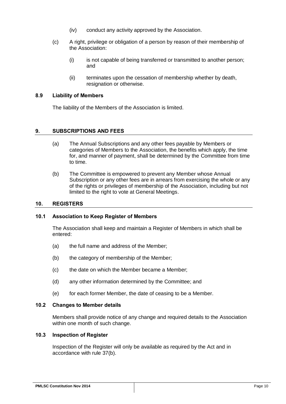- (iv) conduct any activity approved by the Association.
- (c) A right, privilege or obligation of a person by reason of their membership of the Association:
	- (i) is not capable of being transferred or transmitted to another person; and
	- (ii) terminates upon the cessation of membership whether by death, resignation or otherwise.

## <span id="page-13-0"></span>**8.9 Liability of Members**

The liability of the Members of the Association is limited.

#### <span id="page-13-1"></span>**9. SUBSCRIPTIONS AND FEES**

- (a) The Annual Subscriptions and any other fees payable by Members or categories of Members to the Association, the benefits which apply, the time for, and manner of payment, shall be determined by the Committee from time to time.
- (b) The Committee is empowered to prevent any Member whose Annual Subscription or any other fees are in arrears from exercising the whole or any of the rights or privileges of membership of the Association, including but not limited to the right to vote at General Meetings.

#### <span id="page-13-2"></span>**10. REGISTERS**

#### <span id="page-13-3"></span>**10.1 Association to Keep Register of Members**

The Association shall keep and maintain a Register of Members in which shall be entered:

- (a) the full name and address of the Member;
- (b) the category of membership of the Member;
- (c) the date on which the Member became a Member;
- (d) any other information determined by the Committee; and
- (e) for each former Member, the date of ceasing to be a Member.

#### <span id="page-13-6"></span><span id="page-13-4"></span>**10.2 Changes to Member details**

Members shall provide notice of any change and required details to the Association within one month of such change.

#### <span id="page-13-5"></span>**10.3 Inspection of Register**

Inspection of the Register will only be available as required by the Act and in accordance with rule [37\(b\).](#page-33-3)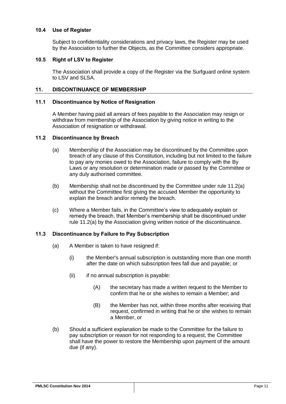## <span id="page-14-0"></span>**10.4 Use of Register**

Subject to confidentiality considerations and privacy laws, the Register may be used by the Association to further the Objects, as the Committee considers appropriate.

#### <span id="page-14-1"></span>**10.5 Right of LSV to Register**

The Association shall provide a copy of the Register via the Surfguard online system to LSV and SLSA.

#### <span id="page-14-2"></span>**11. DISCONTINUANCE OF MEMBERSHIP**

#### <span id="page-14-3"></span>**11.1 Discontinuance by Notice of Resignation**

A Member having paid all arrears of fees payable to the Association may resign or withdraw from membership of the Association by giving notice in writing to the Association of resignation or withdrawal.

#### <span id="page-14-6"></span><span id="page-14-4"></span>**11.2 Discontinuance by Breach**

- (a) Membership of the Association may be discontinued by the Committee upon breach of any clause of this Constitution, including but not limited to the failure to pay any monies owed to the Association, failure to comply with the By Laws or any resolution or determination made or passed by the Committee or any duly authorised committee.
- (b) Membership shall not be discontinued by the Committee under rule [11.2\(a\)](#page-14-6) without the Committee first giving the accused Member the opportunity to explain the breach and/or remedy the breach.
- (c) Where a Member fails, in the Committee's view to adequately explain or remedy the breach, that Member's membership shall be discontinued under rule [11.2\(a\)](#page-14-6) by the Association giving written notice of the discontinuance.

## <span id="page-14-5"></span>**11.3 Discontinuance by Failure to Pay Subscription**

- (a) A Member is taken to have resigned if:
	- (i) the Member's annual subscription is outstanding more than one month after the date on which subscription fees fall due and payable; or
	- (ii) if no annual subscription is payable:
		- (A) the secretary has made a written request to the Member to confirm that he or she wishes to remain a Member; and
		- (B) the Member has not, within three months after receiving that request, confirmed in writing that he or she wishes to remain a Member, or
- (b) Should a sufficient explanation be made to the Committee for the failure to pay subscription or reason for not responding to a request, the Committee shall have the power to restore the Membership upon payment of the amount due (if any).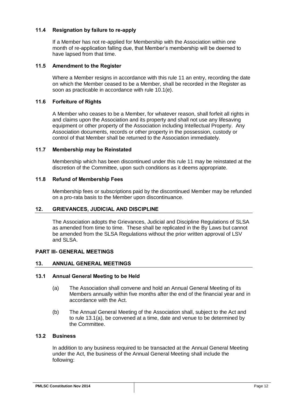## <span id="page-15-0"></span>**11.4 Resignation by failure to re-apply**

If a Member has not re-applied for Membership with the Association within one month of re-application falling due, that Member's membership will be deemed to have lapsed from that time.

## <span id="page-15-1"></span>**11.5 Amendment to the Register**

Where a Member resigns in accordance with this rule [11](#page-14-2) an entry, recording the date on which the Member ceased to be a Member, shall be recorded in the Register as soon as practicable in accordance with rule [10.1\(e\).](#page-13-6)

## <span id="page-15-2"></span>**11.6 Forfeiture of Rights**

A Member who ceases to be a Member, for whatever reason, shall forfeit all rights in and claims upon the Association and its property and shall not use any lifesaving equipment or other property of the Association including Intellectual Property. Any Association documents, records or other property in the possession, custody or control of that Member shall be returned to the Association immediately.

## <span id="page-15-3"></span>**11.7 Membership may be Reinstated**

Membership which has been discontinued under this rule [11](#page-14-2) may be reinstated at the discretion of the Committee, upon such conditions as it deems appropriate.

## <span id="page-15-4"></span>**11.8 Refund of Membership Fees**

Membership fees or subscriptions paid by the discontinued Member may be refunded on a pro-rata basis to the Member upon discontinuance.

## <span id="page-15-5"></span>**12. GRIEVANCES, JUDICIAL AND DISCIPLINE**

The Association adopts the Grievances, Judicial and Discipline Regulations of SLSA as amended from time to time. These shall be replicated in the By Laws but cannot be amended from the SLSA Regulations without the prior written approval of LSV and SLSA.

## <span id="page-15-6"></span>**PART III- GENERAL MEETINGS**

## <span id="page-15-7"></span>**13. ANNUAL GENERAL MEETINGS**

## <span id="page-15-10"></span><span id="page-15-8"></span>**13.1 Annual General Meeting to be Held**

- (a) The Association shall convene and hold an Annual General Meeting of its Members annually within five months after the end of the financial year and in accordance with the Act.
- (b) The Annual General Meeting of the Association shall, subject to the Act and to rule [13.1\(a\),](#page-15-10) be convened at a time, date and venue to be determined by the Committee.

## <span id="page-15-9"></span>**13.2 Business**

In addition to any business required to be transacted at the Annual General Meeting under the Act, the business of the Annual General Meeting shall include the following: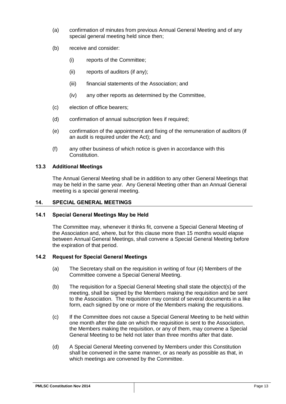- (a) confirmation of minutes from previous Annual General Meeting and of any special general meeting held since then;
- (b) receive and consider:
	- (i) reports of the Committee;
	- (ii) reports of auditors (if any);
	- (iii) financial statements of the Association; and
	- (iv) any other reports as determined by the Committee,
- (c) election of office bearers;
- (d) confirmation of annual subscription fees if required;
- (e) confirmation of the appointment and fixing of the remuneration of auditors (if an audit is required under the Act); and
- (f) any other business of which notice is given in accordance with this Constitution.

## <span id="page-16-0"></span>**13.3 Additional Meetings**

The Annual General Meeting shall be in addition to any other General Meetings that may be held in the same year. Any General Meeting other than an Annual General meeting is a special general meeting.

## <span id="page-16-1"></span>**14. SPECIAL GENERAL MEETINGS**

## <span id="page-16-2"></span>**14.1 Special General Meetings May be Held**

The Committee may, whenever it thinks fit, convene a Special General Meeting of the Association and, where, but for this clause more than 15 months would elapse between Annual General Meetings, shall convene a Special General Meeting before the expiration of that period.

## <span id="page-16-3"></span>**14.2 Request for Special General Meetings**

- (a) The Secretary shall on the requisition in writing of four (4) Members of the Committee convene a Special General Meeting.
- (b) The requisition for a Special General Meeting shall state the object(s) of the meeting, shall be signed by the Members making the requisition and be sent to the Association. The requisition may consist of several documents in a like form, each signed by one or more of the Members making the requisitions.
- (c) If the Committee does not cause a Special General Meeting to be held within one month after the date on which the requisition is sent to the Association, the Members making the requisition, or any of them, may convene a Special General Meeting to be held not later than three months after that date.
- (d) A Special General Meeting convened by Members under this Constitution shall be convened in the same manner, or as nearly as possible as that, in which meetings are convened by the Committee.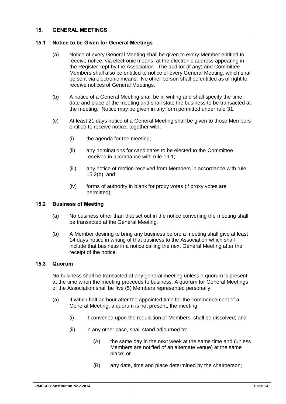## <span id="page-17-0"></span>**15. GENERAL MEETINGS**

#### <span id="page-17-1"></span>**15.1 Notice to be Given for General Meetings**

- (a) Notice of every General Meeting shall be given to every Member entitled to receive notice, via electronic means, at the electronic address appearing in the Register kept by the Association. The auditor (if any) and Committee Members shall also be entitled to notice of every General Meeting, which shall be sent via electronic means. No other person shall be entitled as of right to receive notices of General Meetings.
- (b) A notice of a General Meeting shall be in writing and shall specify the time, date and place of the meeting and shall state the business to be transacted at the meeting. Notice may be given in any form permitted under rule [31.](#page-32-0)
- (c) At least 21 days notice of a General Meeting shall be given to those Members entitled to receive notice, together with:
	- (i) the agenda for the meeting;
	- (ii) any nominations for candidates to be elected to the Committee received in accordance with rule [19.1;](#page-21-4)
	- (iii) any notice of motion received from Members in accordance with rule [15.2\(b\);](#page-17-4) and
	- (iv) forms of authority in blank for proxy votes (if proxy votes are permitted).

## <span id="page-17-2"></span>**15.2 Business of Meeting**

- (a) No business other than that set out in the notice convening the meeting shall be transacted at the General Meeting.
- <span id="page-17-4"></span>(b) A Member desiring to bring any business before a meeting shall give at least 14 days notice in writing of that business to the Association which shall include that business in a notice calling the next General Meeting after the receipt of the notice.

#### <span id="page-17-3"></span>**15.3 Quorum**

No business shall be transacted at any general meeting unless a quorum is present at the time when the meeting proceeds to business. A quorum for General Meetings of the Association shall be five (5) Members represented personally.

- (a) If within half an hour after the appointed time for the commencement of a General Meeting, a quorum is not present, the meeting:
	- (i) if convened upon the requisition of Members, shall be dissolved; and
	- (ii) in any other case, shall stand adjourned to:
		- (A) the same day in the next week at the same time and (unless Members are notified of an alternate venue) at the same place; or
		- (B) any date, time and place determined by the chairperson;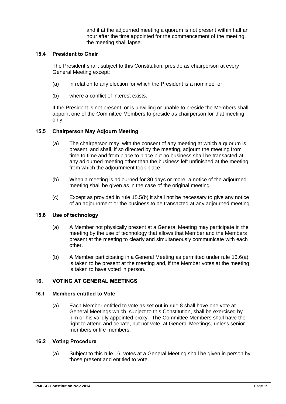and if at the adjourned meeting a quorum is not present within half an hour after the time appointed for the commencement of the meeting, the meeting shall lapse.

## <span id="page-18-0"></span>**15.4 President to Chair**

The President shall, subject to this Constitution, preside as chairperson at every General Meeting except:

- (a) in relation to any election for which the President is a nominee; or
- (b) where a conflict of interest exists.

If the President is not present, or is unwilling or unable to preside the Members shall appoint one of the Committee Members to preside as chairperson for that meeting only.

#### <span id="page-18-1"></span>**15.5 Chairperson May Adjourn Meeting**

- (a) The chairperson may, with the consent of any meeting at which a quorum is present, and shall, if so directed by the meeting, adjourn the meeting from time to time and from place to place but no business shall be transacted at any adjourned meeting other than the business left unfinished at the meeting from which the adjournment took place.
- <span id="page-18-6"></span>(b) When a meeting is adjourned for 30 days or more, a notice of the adjourned meeting shall be given as in the case of the original meeting.
- (c) Except as provided in rule [15.5\(b\)](#page-18-6) it shall not be necessary to give any notice of an adjournment or the business to be transacted at any adjourned meeting.

## <span id="page-18-7"></span><span id="page-18-2"></span>**15.6 Use of technology**

- (a) A Member not physically present at a General Meeting may participate in the meeting by the use of technology that allows that Member and the Members present at the meeting to clearly and simultaneously communicate with each other.
- (b) A Member participating in a General Meeting as permitted under rule [15.6\(a\)](#page-18-7) is taken to be present at the meeting and, if the Member votes at the meeting, is taken to have voted in person.

## <span id="page-18-3"></span>**16. VOTING AT GENERAL MEETINGS**

#### <span id="page-18-4"></span>**16.1 Members entitled to Vote**

(a) Each Member entitled to vote as set out in rule 8 shall have one vote at General Meetings which, subject to this Constitution, shall be exercised by him or his validly appointed proxy. The Committee Members shall have the right to attend and debate, but not vote, at General Meetings, unless senior members or life members.

#### <span id="page-18-5"></span>**16.2 Voting Procedure**

(a) Subject to this rule [16,](#page-18-3) votes at a General Meeting shall be given in person by those present and entitled to vote.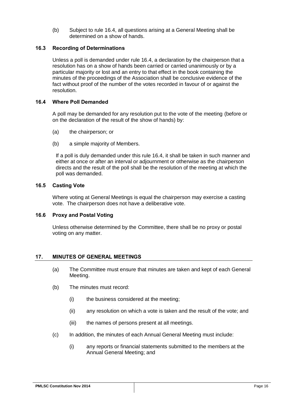(b) Subject to rule [16.4,](#page-19-1) all questions arising at a General Meeting shall be determined on a show of hands.

## <span id="page-19-0"></span>**16.3 Recording of Determinations**

Unless a poll is demanded under rule [16.4,](#page-19-1) a declaration by the chairperson that a resolution has on a show of hands been carried or carried unanimously or by a particular majority or lost and an entry to that effect in the book containing the minutes of the proceedings of the Association shall be conclusive evidence of the fact without proof of the number of the votes recorded in favour of or against the resolution.

## <span id="page-19-1"></span>**16.4 Where Poll Demanded**

A poll may be demanded for any resolution put to the vote of the meeting (before or on the declaration of the result of the show of hands) by:

- (a) the chairperson; or
- (b) a simple majority of Members.

If a poll is duly demanded under this rule [16.4,](#page-19-1) it shall be taken in such manner and either at once or after an interval or adjournment or otherwise as the chairperson directs and the result of the poll shall be the resolution of the meeting at which the poll was demanded.

## <span id="page-19-2"></span>**16.5 Casting Vote**

Where voting at General Meetings is equal the chairperson may exercise a casting vote. The chairperson does not have a deliberative vote.

## <span id="page-19-3"></span>**16.6 Proxy and Postal Voting**

Unless otherwise determined by the Committee, there shall be no proxy or postal voting on any matter.

## <span id="page-19-4"></span>**17. MINUTES OF GENERAL MEETINGS**

- (a) The Committee must ensure that minutes are taken and kept of each General Meeting.
- (b) The minutes must record:
	- (i) the business considered at the meeting;
	- (ii) any resolution on which a vote is taken and the result of the vote; and
	- (iii) the names of persons present at all meetings.
- (c) In addition, the minutes of each Annual General Meeting must include:
	- (i) any reports or financial statements submitted to the members at the Annual General Meeting; and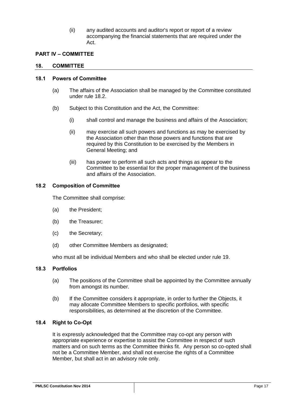(ii) any audited accounts and auditor's report or report of a review accompanying the financial statements that are required under the Act.

## <span id="page-20-0"></span>**PART IV – COMMITTEE**

#### <span id="page-20-1"></span>**18. COMMITTEE**

#### <span id="page-20-6"></span><span id="page-20-2"></span>**18.1 Powers of Committee**

- (a) The affairs of the Association shall be managed by the Committee constituted under rule [18.2.](#page-20-3)
- (b) Subject to this Constitution and the Act, the Committee:
	- (i) shall control and manage the business and affairs of the Association;
	- (ii) may exercise all such powers and functions as may be exercised by the Association other than those powers and functions that are required by this Constitution to be exercised by the Members in General Meeting; and
	- (iii) has power to perform all such acts and things as appear to the Committee to be essential for the proper management of the business and affairs of the Association.

#### <span id="page-20-3"></span>**18.2 Composition of Committee**

The Committee shall comprise:

- <span id="page-20-7"></span>(a) the President;
- (b) the Treasurer;
- (c) the Secretary;
- (d) other Committee Members as designated;

who must all be individual Members and who shall be elected under rule [19.](#page-21-3)

#### <span id="page-20-4"></span>**18.3 Portfolios**

- (a) The positions of the Committee shall be appointed by the Committee annually from amongst its number.
- <span id="page-20-8"></span>(b) If the Committee considers it appropriate, in order to further the Objects, it may allocate Committee Members to specific portfolios, with specific responsibilities, as determined at the discretion of the Committee.

#### <span id="page-20-5"></span>**18.4 Right to Co-Opt**

It is expressly acknowledged that the Committee may co-opt any person with appropriate experience or expertise to assist the Committee in respect of such matters and on such terms as the Committee thinks fit. Any person so co-opted shall not be a Committee Member, and shall not exercise the rights of a Committee Member, but shall act in an advisory role only.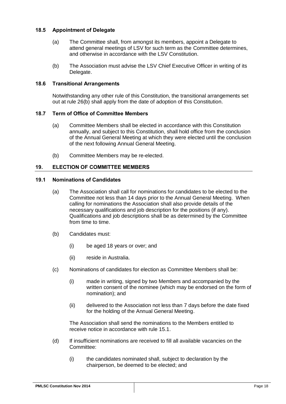## <span id="page-21-0"></span>**18.5 Appointment of Delegate**

- (a) The Committee shall, from amongst its members, appoint a Delegate to attend general meetings of LSV for such term as the Committee determines, and otherwise in accordance with the LSV Constitution.
- (b) The Association must advise the LSV Chief Executive Officer in writing of its Delegate.

## <span id="page-21-1"></span>**18.6 Transitional Arrangements**

Notwithstanding any other rule of this Constitution, the transitional arrangements set out at rule [26\(b\)](#page-29-8) shall apply from the date of adoption of this Constitution.

#### <span id="page-21-2"></span>**18.7 Term of Office of Committee Members**

- (a) Committee Members shall be elected in accordance with this Constitution annually, and subject to this Constitution, shall hold office from the conclusion of the Annual General Meeting at which they were elected until the conclusion of the next following Annual General Meeting.
- (b) Committee Members may be re-elected.

#### <span id="page-21-3"></span>**19. ELECTION OF COMMITTEE MEMBERS**

#### <span id="page-21-4"></span>**19.1 Nominations of Candidates**

- (a) The Association shall call for nominations for candidates to be elected to the Committee not less than 14 days prior to the Annual General Meeting. When calling for nominations the Association shall also provide details of the necessary qualifications and job description for the positions (if any). Qualifications and job descriptions shall be as determined by the Committee from time to time.
- (b) Candidates must:
	- (i) be aged 18 years or over; and
	- (ii) reside in Australia.
- (c) Nominations of candidates for election as Committee Members shall be:
	- (i) made in writing, signed by two Members and accompanied by the written consent of the nominee (which may be endorsed on the form of nomination); and
	- (ii) delivered to the Association not less than 7 days before the date fixed for the holding of the Annual General Meeting.

The Association shall send the nominations to the Members entitled to receive notice in accordance with rule [15.1.](#page-17-1)

- (d) If insufficient nominations are received to fill all available vacancies on the Committee:
	- (i) the candidates nominated shall, subject to declaration by the chairperson, be deemed to be elected; and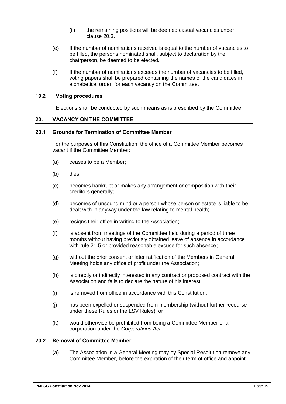- (ii) the remaining positions will be deemed casual vacancies under clause [20.3.](#page-23-0)
- (e) If the number of nominations received is equal to the number of vacancies to be filled, the persons nominated shall, subject to declaration by the chairperson, be deemed to be elected.
- (f) If the number of nominations exceeds the number of vacancies to be filled, voting papers shall be prepared containing the names of the candidates in alphabetical order, for each vacancy on the Committee.

#### <span id="page-22-0"></span>**19.2 Voting procedures**

Elections shall be conducted by such means as is prescribed by the Committee.

#### <span id="page-22-1"></span>**20. VACANCY ON THE COMMITTEE**

#### <span id="page-22-2"></span>**20.1 Grounds for Termination of Committee Member**

For the purposes of this Constitution, the office of a Committee Member becomes vacant if the Committee Member:

- (a) ceases to be a Member;
- (b) dies;
- (c) becomes bankrupt or makes any arrangement or composition with their creditors generally;
- (d) becomes of unsound mind or a person whose person or estate is liable to be dealt with in anyway under the law relating to mental health;
- (e) resigns their office in writing to the Association;
- (f) is absent from meetings of the Committee held during a period of three months without having previously obtained leave of absence in accordance with rule [21.5](#page-25-0) or provided reasonable excuse for such absence;
- (g) without the prior consent or later ratification of the Members in General Meeting holds any office of profit under the Association;
- (h) is directly or indirectly interested in any contract or proposed contract with the Association and fails to declare the nature of his interest;
- (i) is removed from office in accordance with this Constitution;
- (j) has been expelled or suspended from membership (without further recourse under these Rules or the LSV Rules); or
- (k) would otherwise be prohibited from being a Committee Member of a corporation under the *Corporations Act*.

#### <span id="page-22-3"></span>**20.2 Removal of Committee Member**

(a) The Association in a General Meeting may by Special Resolution remove any Committee Member, before the expiration of their term of office and appoint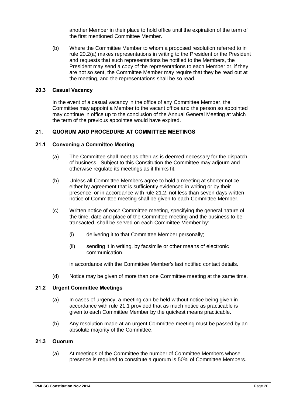another Member in their place to hold office until the expiration of the term of the first mentioned Committee Member.

(b) Where the Committee Member to whom a proposed resolution referred to in rule [20.2\(a\)](#page-22-3) makes representations in writing to the President or the President and requests that such representations be notified to the Members, the President may send a copy of the representations to each Member or, if they are not so sent, the Committee Member may require that they be read out at the meeting, and the representations shall be so read.

#### <span id="page-23-0"></span>**20.3 Casual Vacancy**

In the event of a casual vacancy in the office of any Committee Member, the Committee may appoint a Member to the vacant office and the person so appointed may continue in office up to the conclusion of the Annual General Meeting at which the term of the previous appointee would have expired.

#### <span id="page-23-1"></span>**21. QUORUM AND PROCEDURE AT COMMITTEE MEETINGS**

## <span id="page-23-2"></span>**21.1 Convening a Committee Meeting**

- (a) The Committee shall meet as often as is deemed necessary for the dispatch of business. Subject to this Constitution the Committee may adjourn and otherwise regulate its meetings as it thinks fit.
- (b) Unless all Committee Members agree to hold a meeting at shorter notice either by agreement that is sufficiently evidenced in writing or by their presence, or in accordance with rule [21.2,](#page-23-3) not less than seven days written notice of Committee meeting shall be given to each Committee Member.
- (c) Written notice of each Committee meeting, specifying the general nature of the time, date and place of the Committee meeting and the business to be transacted, shall be served on each Committee Member by:
	- (i) delivering it to that Committee Member personally;
	- (ii) sending it in writing, by facsimile or other means of electronic communication.

in accordance with the Committee Member's last notified contact details.

(d) Notice may be given of more than one Committee meeting at the same time.

## <span id="page-23-3"></span>**21.2 Urgent Committee Meetings**

- (a) In cases of urgency, a meeting can be held without notice being given in accordance with rule [21.1](#page-23-2) provided that as much notice as practicable is given to each Committee Member by the quickest means practicable.
- (b) Any resolution made at an urgent Committee meeting must be passed by an absolute majority of the Committee.

## <span id="page-23-4"></span>**21.3 Quorum**

(a) At meetings of the Committee the number of Committee Members whose presence is required to constitute a quorum is 50% of Committee Members.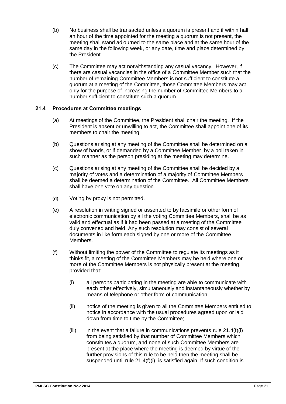- (b) No business shall be transacted unless a quorum is present and if within half an hour of the time appointed for the meeting a quorum is not present, the meeting shall stand adjourned to the same place and at the same hour of the same day in the following week, or any date, time and place determined by the President.
- (c) The Committee may act notwithstanding any casual vacancy. However, if there are casual vacancies in the office of a Committee Member such that the number of remaining Committee Members is not sufficient to constitute a quorum at a meeting of the Committee, those Committee Members may act only for the purpose of increasing the number of Committee Members to a number sufficient to constitute such a quorum.

## <span id="page-24-0"></span>**21.4 Procedures at Committee meetings**

- (a) At meetings of the Committee, the President shall chair the meeting. If the President is absent or unwilling to act, the Committee shall appoint one of its members to chair the meeting.
- (b) Questions arising at any meeting of the Committee shall be determined on a show of hands, or if demanded by a Committee Member, by a poll taken in such manner as the person presiding at the meeting may determine.
- (c) Questions arising at any meeting of the Committee shall be decided by a majority of votes and a determination of a majority of Committee Members shall be deemed a determination of the Committee. All Committee Members shall have one vote on any question.
- (d) Voting by proxy is not permitted.
- (e) A resolution in writing signed or assented to by facsimile or other form of electronic communication by all the voting Committee Members, shall be as valid and effectual as if it had been passed at a meeting of the Committee duly convened and held. Any such resolution may consist of several documents in like form each signed by one or more of the Committee Members.
- <span id="page-24-1"></span>(f) Without limiting the power of the Committee to regulate its meetings as it thinks fit, a meeting of the Committee Members may be held where one or more of the Committee Members is not physically present at the meeting, provided that:
	- (i) all persons participating in the meeting are able to communicate with each other effectively, simultaneously and instantaneously whether by means of telephone or other form of communication;
	- (ii) notice of the meeting is given to all the Committee Members entitled to notice in accordance with the usual procedures agreed upon or laid down from time to time by the Committee;
	- $(iii)$  in the event that a failure in communications prevents rule [21.4\(f\)\(i\)](#page-24-1) from being satisfied by that number of Committee Members which constitutes a quorum, and none of such Committee Members are present at the place where the meeting is deemed by virtue of the further provisions of this rule to be held then the meeting shall be suspended until rule [21.4\(f\)\(i\)](#page-24-1) is satisfied again. If such condition is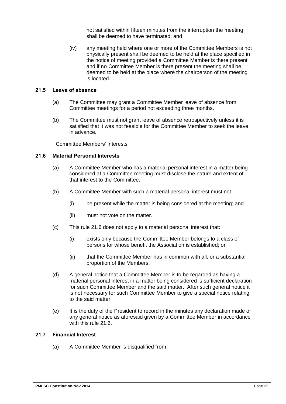not satisfied within fifteen minutes from the interruption the meeting shall be deemed to have terminated; and

(iv) any meeting held where one or more of the Committee Members is not physically present shall be deemed to be held at the place specified in the notice of meeting provided a Committee Member is there present and if no Committee Member is there present the meeting shall be deemed to be held at the place where the chairperson of the meeting is located.

#### <span id="page-25-0"></span>**21.5 Leave of absence**

- (a) The Committee may grant a Committee Member leave of absence from Committee meetings for a period not exceeding three months.
- (b) The Committee must not grant leave of absence retrospectively unless it is satisfied that it was not feasible for the Committee Member to seek the leave in advance.

Committee Members' interests

## <span id="page-25-1"></span>**21.6 Material Personal Interests**

- (a) A Committee Member who has a material personal interest in a matter being considered at a Committee meeting must disclose the nature and extent of that interest to the Committee.
- (b) A Committee Member with such a material personal interest must not:
	- (i) be present while the matter is being considered at the meeting; and
	- (ii) must not vote on the matter.
- (c) This rule [21.6](#page-25-1) does not apply to a material personal interest that:
	- (i) exists only because the Committee Member belongs to a class of persons for whose benefit the Association is established; or
	- (ii) that the Committee Member has in common with all, or a substantial proportion of the Members.
- (d) A general notice that a Committee Member is to be regarded as having a material personal interest in a matter being considered is sufficient declaration for such Committee Member and the said matter. After such general notice it is not necessary for such Committee Member to give a special notice relating to the said matter.
- (e) It is the duty of the President to record in the minutes any declaration made or any general notice as aforesaid given by a Committee Member in accordance with this rule [21.6.](#page-25-1)

## <span id="page-25-2"></span>**21.7 Financial Interest**

(a) A Committee Member is disqualified from: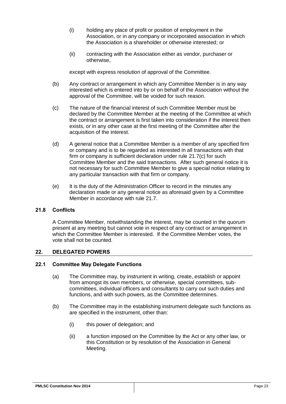- (i) holding any place of profit or position of employment in the Association, or in any company or incorporated association in which the Association is a shareholder or otherwise interested; or
- (ii) contracting with the Association either as vendor, purchaser or otherwise,

except with express resolution of approval of the Committee.

- (b) Any contract or arrangement in which any Committee Member is in any way interested which is entered into by or on behalf of the Association without the approval of the Committee, will be voided for such reason.
- <span id="page-26-3"></span>(c) The nature of the financial interest of such Committee Member must be declared by the Committee Member at the meeting of the Committee at which the contract or arrangement is first taken into consideration if the interest then exists, or in any other case at the first meeting of the Committee after the acquisition of the interest.
- (d) A general notice that a Committee Member is a member of any specified firm or company and is to be regarded as interested in all transactions with that firm or company is sufficient declaration under rule [21.7\(c\)](#page-26-3) for such Committee Member and the said transactions. After such general notice it is not necessary for such Committee Member to give a special notice relating to any particular transaction with that firm or company.
- (e) It is the duty of the Administration Officer to record in the minutes any declaration made or any general notice as aforesaid given by a Committee Member in accordance with rule [21.7.](#page-25-2)

## <span id="page-26-0"></span>**21.8 Conflicts**

A Committee Member, notwithstanding the interest, may be counted in the quorum present at any meeting but cannot vote in respect of any contract or arrangement in which the Committee Member is interested. If the Committee Member votes, the vote shall not be counted.

## <span id="page-26-1"></span>**22. DELEGATED POWERS**

## <span id="page-26-2"></span>**22.1 Committee May Delegate Functions**

- (a) The Committee may, by instrument in writing, create, establish or appoint from amongst its own members, or otherwise, special committees, subcommittees, individual officers and consultants to carry out such duties and functions, and with such powers, as the Committee determines.
- (b) The Committee may in the establishing instrument delegate such functions as are specified in the instrument, other than:
	- (i) this power of delegation; and
	- (ii) a function imposed on the Committee by the Act or any other law, or this Constitution or by resolution of the Association in General Meeting.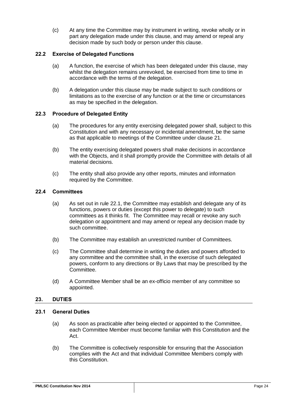(c) At any time the Committee may by instrument in writing, revoke wholly or in part any delegation made under this clause, and may amend or repeal any decision made by such body or person under this clause.

## <span id="page-27-0"></span>**22.2 Exercise of Delegated Functions**

- (a) A function, the exercise of which has been delegated under this clause, may whilst the delegation remains unrevoked, be exercised from time to time in accordance with the terms of the delegation.
- (b) A delegation under this clause may be made subject to such conditions or limitations as to the exercise of any function or at the time or circumstances as may be specified in the delegation.

## <span id="page-27-1"></span>**22.3 Procedure of Delegated Entity**

- (a) The procedures for any entity exercising delegated power shall, subject to this Constitution and with any necessary or incidental amendment, be the same as that applicable to meetings of the Committee under clause [21.](#page-23-1)
- (b) The entity exercising delegated powers shall make decisions in accordance with the Objects, and it shall promptly provide the Committee with details of all material decisions.
- (c) The entity shall also provide any other reports, minutes and information required by the Committee.

## <span id="page-27-2"></span>**22.4 Committees**

- (a) As set out in rule [22.1,](#page-26-2) the Committee may establish and delegate any of its functions, powers or duties (except this power to delegate) to such committees as it thinks fit. The Committee may recall or revoke any such delegation or appointment and may amend or repeal any decision made by such committee.
- (b) The Committee may establish an unrestricted number of Committees.
- (c) The Committee shall determine in writing the duties and powers afforded to any committee and the committee shall, in the exercise of such delegated powers, conform to any directions or By Laws that may be prescribed by the Committee.
- (d) A Committee Member shall be an ex-officio member of any committee so appointed.

## <span id="page-27-3"></span>**23. DUTIES**

## <span id="page-27-4"></span>**23.1 General Duties**

- (a) As soon as practicable after being elected or appointed to the Committee, each Committee Member must become familiar with this Constitution and the Act.
- (b) The Committee is collectively responsible for ensuring that the Association complies with the Act and that individual Committee Members comply with this Constitution.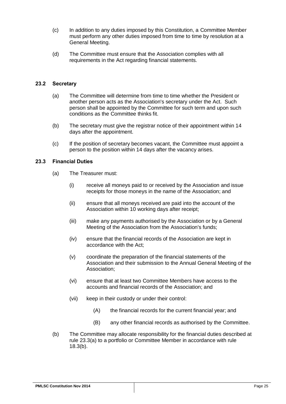- (c) In addition to any duties imposed by this Constitution, a Committee Member must perform any other duties imposed from time to time by resolution at a General Meeting.
- (d) The Committee must ensure that the Association complies with all requirements in the Act regarding financial statements.

## <span id="page-28-0"></span>**23.2 Secretary**

- (a) The Committee will determine from time to time whether the President or another person acts as the Association's secretary under the Act. Such person shall be appointed by the Committee for such term and upon such conditions as the Committee thinks fit.
- (b) The secretary must give the registrar notice of their appointment within 14 days after the appointment.
- (c) If the position of secretary becomes vacant, the Committee must appoint a person to the position within 14 days after the vacancy arises.

## <span id="page-28-2"></span><span id="page-28-1"></span>**23.3 Financial Duties**

- (a) The Treasurer must:
	- (i) receive all moneys paid to or received by the Association and issue receipts for those moneys in the name of the Association; and
	- (ii) ensure that all moneys received are paid into the account of the Association within 10 working days after receipt;
	- (iii) make any payments authorised by the Association or by a General Meeting of the Association from the Association's funds;
	- (iv) ensure that the financial records of the Association are kept in accordance with the Act;
	- (v) coordinate the preparation of the financial statements of the Association and their submission to the Annual General Meeting of the Association;
	- (vi) ensure that at least two Committee Members have access to the accounts and financial records of the Association; and
	- (vii) keep in their custody or under their control:
		- (A) the financial records for the current financial year; and
		- (B) any other financial records as authorised by the Committee.
- (b) The Committee may allocate responsibility for the financial duties described at rule [23.3\(a\)](#page-28-2) to a portfolio or Committee Member in accordance with rule [18.3\(b\).](#page-20-8)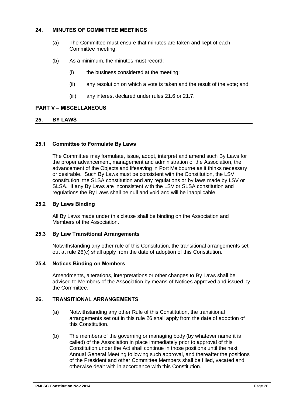## <span id="page-29-0"></span>**24. MINUTES OF COMMITTEE MEETINGS**

- (a) The Committee must ensure that minutes are taken and kept of each Committee meeting.
- (b) As a minimum, the minutes must record:
	- (i) the business considered at the meeting;
	- (ii) any resolution on which a vote is taken and the result of the vote; and
	- (iii) any interest declared under rules [21.6](#page-25-1) or [21.7.](#page-25-2)

#### <span id="page-29-1"></span>**PART V – MISCELLANEOUS**

#### <span id="page-29-2"></span>**25. BY LAWS**

## <span id="page-29-3"></span>**25.1 Committee to Formulate By Laws**

The Committee may formulate, issue, adopt, interpret and amend such By Laws for the proper advancement, management and administration of the Association, the advancement of the Objects and lifesaving in Port Melbourne as it thinks necessary or desirable. Such By Laws must be consistent with the Constitution, the LSV constitution, the SLSA constitution and any regulations or by laws made by LSV or SLSA. If any By Laws are inconsistent with the LSV or SLSA constitution and regulations the By Laws shall be null and void and will be inapplicable.

## <span id="page-29-4"></span>**25.2 By Laws Binding**

All By Laws made under this clause shall be binding on the Association and Members of the Association.

#### <span id="page-29-5"></span>**25.3 By Law Transitional Arrangements**

Notwithstanding any other rule of this Constitution, the transitional arrangements set out at rule [26\(c\)](#page-30-5) shall apply from the date of adoption of this Constitution.

#### <span id="page-29-6"></span>**25.4 Notices Binding on Members**

Amendments, alterations, interpretations or other changes to By Laws shall be advised to Members of the Association by means of Notices approved and issued by the Committee.

#### <span id="page-29-7"></span>**26. TRANSITIONAL ARRANGEMENTS**

- (a) Notwithstanding any other Rule of this Constitution, the transitional arrangements set out in this rule [26](#page-29-7) shall apply from the date of adoption of this Constitution.
- <span id="page-29-8"></span>(b) The members of the governing or managing body (by whatever name it is called) of the Association in place immediately prior to approval of this Constitution under the Act shall continue in those positions until the next Annual General Meeting following such approval, and thereafter the positions of the President and other Committee Members shall be filled, vacated and otherwise dealt with in accordance with this Constitution.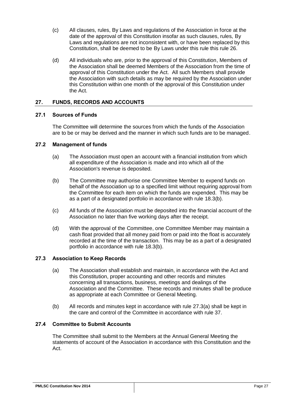- <span id="page-30-5"></span>(c) All clauses, rules, By Laws and regulations of the Association in force at the date of the approval of this Constitution insofar as such clauses, rules, By Laws and regulations are not inconsistent with, or have been replaced by this Constitution, shall be deemed to be By Laws under this rule this rule [26.](#page-29-7)
- (d) All individuals who are, prior to the approval of this Constitution, Members of the Association shall be deemed Members of the Association from the time of approval of this Constitution under the Act. All such Members shall provide the Association with such details as may be required by the Association under this Constitution within one month of the approval of this Constitution under the Act.

## <span id="page-30-0"></span>**27. FUNDS, RECORDS AND ACCOUNTS**

## <span id="page-30-1"></span>**27.1 Sources of Funds**

The Committee will determine the sources from which the funds of the Association are to be or may be derived and the manner in which such funds are to be managed.

## <span id="page-30-2"></span>**27.2 Management of funds**

- (a) The Association must open an account with a financial institution from which all expenditure of the Association is made and into which all of the Association's revenue is deposited.
- (b) The Committee may authorise one Committee Member to expend funds on behalf of the Association up to a specified limit without requiring approval from the Committee for each item on which the funds are expended. This may be as a part of a designated portfolio in accordance with rule [18.3\(b\).](#page-20-8)
- (c) All funds of the Association must be deposited into the financial account of the Association no later than five working days after the receipt.
- (d) With the approval of the Committee, one Committee Member may maintain a cash float provided that all money paid from or paid into the float is accurately recorded at the time of the transaction. This may be as a part of a designated portfolio in accordance with rule [18.3\(b\).](#page-20-8)

## <span id="page-30-6"></span><span id="page-30-3"></span>**27.3 Association to Keep Records**

- (a) The Association shall establish and maintain, in accordance with the Act and this Constitution, proper accounting and other records and minutes concerning all transactions, business, meetings and dealings of the Association and the Committee. These records and minutes shall be produce as appropriate at each Committee or General Meeting.
- (b) All records and minutes kept in accordance with rule [27.3\(a\)](#page-30-6) shall be kept in the care and control of the Committee in accordance with rule 37.

#### <span id="page-30-4"></span>**27.4 Committee to Submit Accounts**

The Committee shall submit to the Members at the Annual General Meeting the statements of account of the Association in accordance with this Constitution and the Act.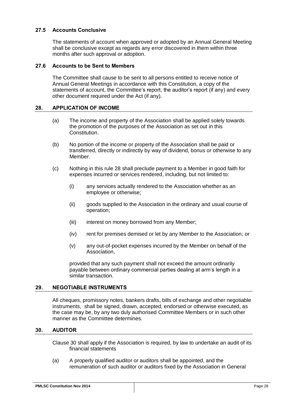## <span id="page-31-0"></span>**27.5 Accounts Conclusive**

The statements of account when approved or adopted by an Annual General Meeting shall be conclusive except as regards any error discovered in them within three months after such approval or adoption.

## <span id="page-31-1"></span>**27.6 Accounts to be Sent to Members**

The Committee shall cause to be sent to all persons entitled to receive notice of Annual General Meetings in accordance with this Constitution, a copy of the statements of account, the Committee's report, the auditor's report (if any) and every other document required under the Act (if any).

## <span id="page-31-2"></span>**28. APPLICATION OF INCOME**

- (a) The income and property of the Association shall be applied solely towards the promotion of the purposes of the Association as set out in this Constitution.
- (b) No portion of the income or property of the Association shall be paid or transferred, directly or indirectly by way of dividend, bonus or otherwise to any Member.
- (c) Nothing in this rule [28](#page-31-2) shall preclude payment to a Member in good faith for expenses incurred or services rendered, including, but not limited to:
	- (i) any services actually rendered to the Association whether as an employee or otherwise;
	- (ii) goods supplied to the Association in the ordinary and usual course of operation;
	- (iii) interest on money borrowed from any Member;
	- (iv) rent for premises demised or let by any Member to the Association; or
	- (v) any out-of-pocket expenses incurred by the Member on behalf of the Association,

provided that any such payment shall not exceed the amount ordinarily payable between ordinary commercial parties dealing at arm's length in a similar transaction.

## <span id="page-31-3"></span>**29. NEGOTIABLE INSTRUMENTS**

All cheques, promissory notes, bankers drafts, bills of exchange and other negotiable instruments, shall be signed, drawn, accepted, endorsed or otherwise executed, as the case may be, by any two duly authorised Committee Members or in such other manner as the Committee determines.

#### <span id="page-31-4"></span>**30. AUDITOR**

Clause 30 shall apply if the Association is required, by law to undertake an audit of its financial statements

(a) A properly qualified auditor or auditors shall be appointed, and the remuneration of such auditor or auditors fixed by the Association in General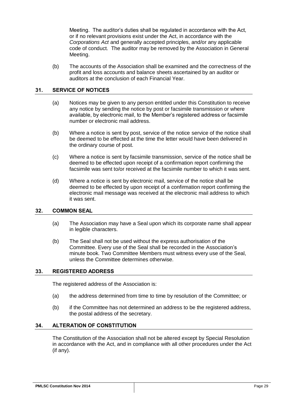Meeting. The auditor's duties shall be regulated in accordance with the Act, or if no relevant provisions exist under the Act, in accordance with the *Corporations Act* and generally accepted principles, and/or any applicable code of conduct. The auditor may be removed by the Association in General Meeting.

(b) The accounts of the Association shall be examined and the correctness of the profit and loss accounts and balance sheets ascertained by an auditor or auditors at the conclusion of each Financial Year.

## <span id="page-32-0"></span>**31. SERVICE OF NOTICES**

- (a) Notices may be given to any person entitled under this Constitution to receive any notice by sending the notice by post or facsimile transmission or where available, by electronic mail, to the Member's registered address or facsimile number or electronic mail address.
- (b) Where a notice is sent by post, service of the notice service of the notice shall be deemed to be effected at the time the letter would have been delivered in the ordinary course of post.
- (c) Where a notice is sent by facsimile transmission, service of the notice shall be deemed to be effected upon receipt of a confirmation report confirming the facsimile was sent to/or received at the facsimile number to which it was sent.
- (d) Where a notice is sent by electronic mail, service of the notice shall be deemed to be effected by upon receipt of a confirmation report confirming the electronic mail message was received at the electronic mail address to which it was sent.

#### <span id="page-32-1"></span>**32. COMMON SEAL**

- (a) The Association may have a Seal upon which its corporate name shall appear in legible characters.
- (b) The Seal shall not be used without the express authorisation of the Committee. Every use of the Seal shall be recorded in the Association's minute book. Two Committee Members must witness every use of the Seal, unless the Committee determines otherwise.

## <span id="page-32-2"></span>**33. REGISTERED ADDRESS**

The registered address of the Association is:

- (a) the address determined from time to time by resolution of the Committee; or
- (b) if the Committee has not determined an address to be the registered address, the postal address of the secretary.

#### <span id="page-32-3"></span>**34. ALTERATION OF CONSTITUTION**

The Constitution of the Association shall not be altered except by Special Resolution in accordance with the Act, and in compliance with all other procedures under the Act (if any).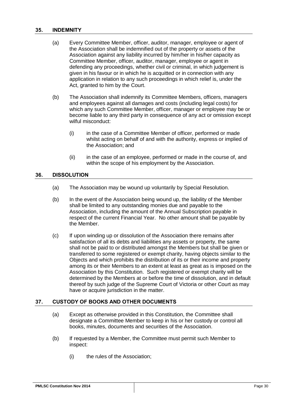#### <span id="page-33-0"></span>**35. INDEMNITY**

- (a) Every Committee Member, officer, auditor, manager, employee or agent of the Association shall be indemnified out of the property or assets of the Association against any liability incurred by him/her in his/her capacity as Committee Member, officer, auditor, manager, employee or agent in defending any proceedings, whether civil or criminal, in which judgement is given in his favour or in which he is acquitted or in connection with any application in relation to any such proceedings in which relief is, under the Act, granted to him by the Court.
- (b) The Association shall indemnify its Committee Members, officers, managers and employees against all damages and costs (including legal costs) for which any such Committee Member, officer, manager or employee may be or become liable to any third party in consequence of any act or omission except wilful misconduct:
	- (i) in the case of a Committee Member of officer, performed or made whilst acting on behalf of and with the authority, express or implied of the Association; and
	- (ii) in the case of an employee, performed or made in the course of, and within the scope of his employment by the Association.

## <span id="page-33-1"></span>**36. DISSOLUTION**

- (a) The Association may be wound up voluntarily by Special Resolution.
- (b) In the event of the Association being wound up, the liability of the Member shall be limited to any outstanding monies due and payable to the Association, including the amount of the Annual Subscription payable in respect of the current Financial Year. No other amount shall be payable by the Member.
- (c) If upon winding up or dissolution of the Association there remains after satisfaction of all its debts and liabilities any assets or property, the same shall not be paid to or distributed amongst the Members but shall be given or transferred to some registered or exempt charity, having objects similar to the Objects and which prohibits the distribution of its or their income and property among its or their Members to an extent at least as great as is imposed on the Association by this Constitution. Such registered or exempt charity will be determined by the Members at or before the time of dissolution, and in default thereof by such judge of the Supreme Court of Victoria or other Court as may have or acquire jurisdiction in the matter.

## <span id="page-33-2"></span>**37. CUSTODY OF BOOKS AND OTHER DOCUMENTS**

- (a) Except as otherwise provided in this Constitution, the Committee shall designate a Committee Member to keep in his or her custody or control all books, minutes, documents and securities of the Association.
- <span id="page-33-3"></span>(b) If requested by a Member, the Committee must permit such Member to inspect:
	- (i) the rules of the Association;